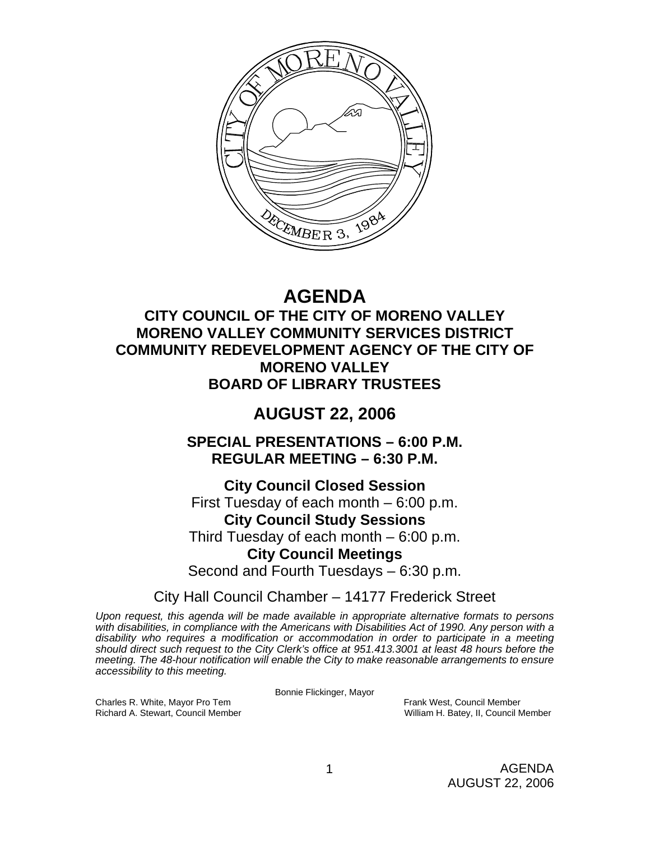

# **AGENDA**

# **CITY COUNCIL OF THE CITY OF MORENO VALLEY MORENO VALLEY COMMUNITY SERVICES DISTRICT COMMUNITY REDEVELOPMENT AGENCY OF THE CITY OF MORENO VALLEY BOARD OF LIBRARY TRUSTEES**

# **AUGUST 22, 2006**

**SPECIAL PRESENTATIONS – 6:00 P.M. REGULAR MEETING – 6:30 P.M.** 

**City Council Closed Session**  First Tuesday of each month – 6:00 p.m. **City Council Study Sessions**  Third Tuesday of each month – 6:00 p.m. **City Council Meetings**  Second and Fourth Tuesdays – 6:30 p.m.

City Hall Council Chamber – 14177 Frederick Street

*Upon request, this agenda will be made available in appropriate alternative formats to persons with disabilities, in compliance with the Americans with Disabilities Act of 1990. Any person with a disability who requires a modification or accommodation in order to participate in a meeting should direct such request to the City Clerk's office at 951.413.3001 at least 48 hours before the meeting. The 48-hour notification will enable the City to make reasonable arrangements to ensure accessibility to this meeting.* 

Bonnie Flickinger, Mayor

William H. Batey, II, Council Member

Charles R. White, Mayor Pro Tem Frank West, Council Member<br>
Richard A. Stewart, Council Member<br>
William H. Batey, II, Council N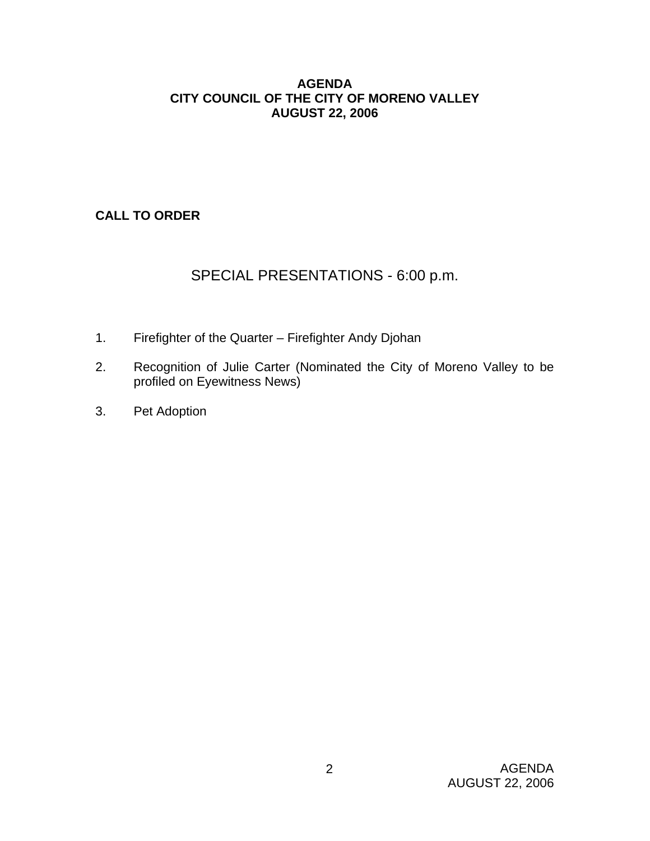#### **AGENDA CITY COUNCIL OF THE CITY OF MORENO VALLEY AUGUST 22, 2006**

# **CALL TO ORDER**

# SPECIAL PRESENTATIONS - 6:00 p.m.

- 1. Firefighter of the Quarter Firefighter Andy Djohan
- 2. Recognition of Julie Carter (Nominated the City of Moreno Valley to be profiled on Eyewitness News)
- 3. Pet Adoption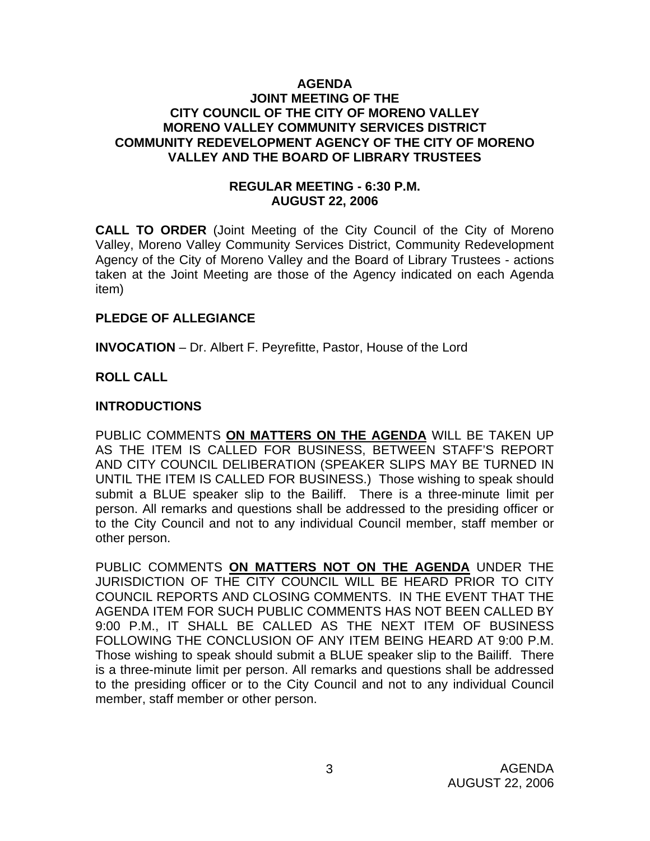#### **AGENDA JOINT MEETING OF THE CITY COUNCIL OF THE CITY OF MORENO VALLEY MORENO VALLEY COMMUNITY SERVICES DISTRICT COMMUNITY REDEVELOPMENT AGENCY OF THE CITY OF MORENO VALLEY AND THE BOARD OF LIBRARY TRUSTEES**

#### **REGULAR MEETING - 6:30 P.M. AUGUST 22, 2006**

**CALL TO ORDER** (Joint Meeting of the City Council of the City of Moreno Valley, Moreno Valley Community Services District, Community Redevelopment Agency of the City of Moreno Valley and the Board of Library Trustees - actions taken at the Joint Meeting are those of the Agency indicated on each Agenda item)

#### **PLEDGE OF ALLEGIANCE**

**INVOCATION** – Dr. Albert F. Peyrefitte, Pastor, House of the Lord

# **ROLL CALL**

## **INTRODUCTIONS**

PUBLIC COMMENTS **ON MATTERS ON THE AGENDA** WILL BE TAKEN UP AS THE ITEM IS CALLED FOR BUSINESS, BETWEEN STAFF'S REPORT AND CITY COUNCIL DELIBERATION (SPEAKER SLIPS MAY BE TURNED IN UNTIL THE ITEM IS CALLED FOR BUSINESS.) Those wishing to speak should submit a BLUE speaker slip to the Bailiff. There is a three-minute limit per person. All remarks and questions shall be addressed to the presiding officer or to the City Council and not to any individual Council member, staff member or other person.

PUBLIC COMMENTS **ON MATTERS NOT ON THE AGENDA** UNDER THE JURISDICTION OF THE CITY COUNCIL WILL BE HEARD PRIOR TO CITY COUNCIL REPORTS AND CLOSING COMMENTS. IN THE EVENT THAT THE AGENDA ITEM FOR SUCH PUBLIC COMMENTS HAS NOT BEEN CALLED BY 9:00 P.M., IT SHALL BE CALLED AS THE NEXT ITEM OF BUSINESS FOLLOWING THE CONCLUSION OF ANY ITEM BEING HEARD AT 9:00 P.M. Those wishing to speak should submit a BLUE speaker slip to the Bailiff. There is a three-minute limit per person. All remarks and questions shall be addressed to the presiding officer or to the City Council and not to any individual Council member, staff member or other person.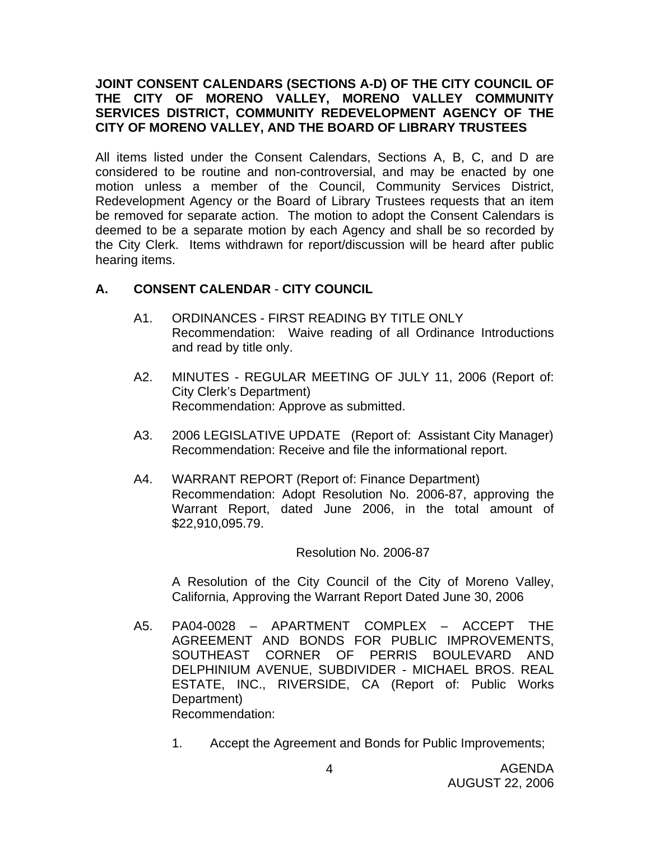#### **JOINT CONSENT CALENDARS (SECTIONS A-D) OF THE CITY COUNCIL OF THE CITY OF MORENO VALLEY, MORENO VALLEY COMMUNITY SERVICES DISTRICT, COMMUNITY REDEVELOPMENT AGENCY OF THE CITY OF MORENO VALLEY, AND THE BOARD OF LIBRARY TRUSTEES**

All items listed under the Consent Calendars, Sections A, B, C, and D are considered to be routine and non-controversial, and may be enacted by one motion unless a member of the Council, Community Services District, Redevelopment Agency or the Board of Library Trustees requests that an item be removed for separate action. The motion to adopt the Consent Calendars is deemed to be a separate motion by each Agency and shall be so recorded by the City Clerk. Items withdrawn for report/discussion will be heard after public hearing items.

## **A. CONSENT CALENDAR** - **CITY COUNCIL**

- A1. ORDINANCES FIRST READING BY TITLE ONLY Recommendation: Waive reading of all Ordinance Introductions and read by title only.
- A2. MINUTES REGULAR MEETING OF JULY 11, 2006 (Report of: City Clerk's Department) Recommendation: Approve as submitted.
- A3. 2006 LEGISLATIVE UPDATE (Report of: Assistant City Manager) Recommendation: Receive and file the informational report.
- A4. WARRANT REPORT (Report of: Finance Department) Recommendation: Adopt Resolution No. 2006-87, approving the Warrant Report, dated June 2006, in the total amount of \$22,910,095.79.

#### Resolution No. 2006-87

A Resolution of the City Council of the City of Moreno Valley, California, Approving the Warrant Report Dated June 30, 2006

- A5. PA04-0028 APARTMENT COMPLEX ACCEPT THE AGREEMENT AND BONDS FOR PUBLIC IMPROVEMENTS, SOUTHEAST CORNER OF PERRIS BOULEVARD AND DELPHINIUM AVENUE, SUBDIVIDER - MICHAEL BROS. REAL ESTATE, INC., RIVERSIDE, CA (Report of: Public Works Department) Recommendation:
	- 1. Accept the Agreement and Bonds for Public Improvements;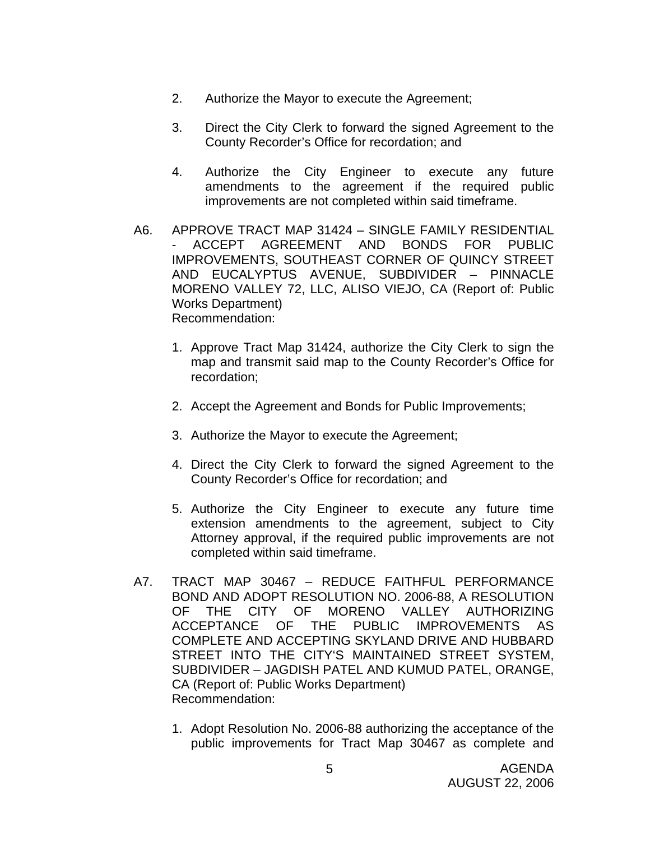- 2. Authorize the Mayor to execute the Agreement;
- 3. Direct the City Clerk to forward the signed Agreement to the County Recorder's Office for recordation; and
- 4. Authorize the City Engineer to execute any future amendments to the agreement if the required public improvements are not completed within said timeframe.
- A6. APPROVE TRACT MAP 31424 SINGLE FAMILY RESIDENTIAL - ACCEPT AGREEMENT AND BONDS FOR PUBLIC IMPROVEMENTS, SOUTHEAST CORNER OF QUINCY STREET AND EUCALYPTUS AVENUE, SUBDIVIDER – PINNACLE MORENO VALLEY 72, LLC, ALISO VIEJO, CA (Report of: Public Works Department) Recommendation:
	- 1. Approve Tract Map 31424, authorize the City Clerk to sign the map and transmit said map to the County Recorder's Office for recordation;
	- 2. Accept the Agreement and Bonds for Public Improvements;
	- 3. Authorize the Mayor to execute the Agreement;
	- 4. Direct the City Clerk to forward the signed Agreement to the County Recorder's Office for recordation; and
	- 5. Authorize the City Engineer to execute any future time extension amendments to the agreement, subject to City Attorney approval, if the required public improvements are not completed within said timeframe.
- A7. TRACT MAP 30467 REDUCE FAITHFUL PERFORMANCE BOND AND ADOPT RESOLUTION NO. 2006-88, A RESOLUTION OF THE CITY OF MORENO VALLEY AUTHORIZING ACCEPTANCE OF THE PUBLIC IMPROVEMENTS AS COMPLETE AND ACCEPTING SKYLAND DRIVE AND HUBBARD STREET INTO THE CITY'S MAINTAINED STREET SYSTEM, SUBDIVIDER – JAGDISH PATEL AND KUMUD PATEL, ORANGE, CA (Report of: Public Works Department) Recommendation:
	- 1. Adopt Resolution No. 2006-88 authorizing the acceptance of the public improvements for Tract Map 30467 as complete and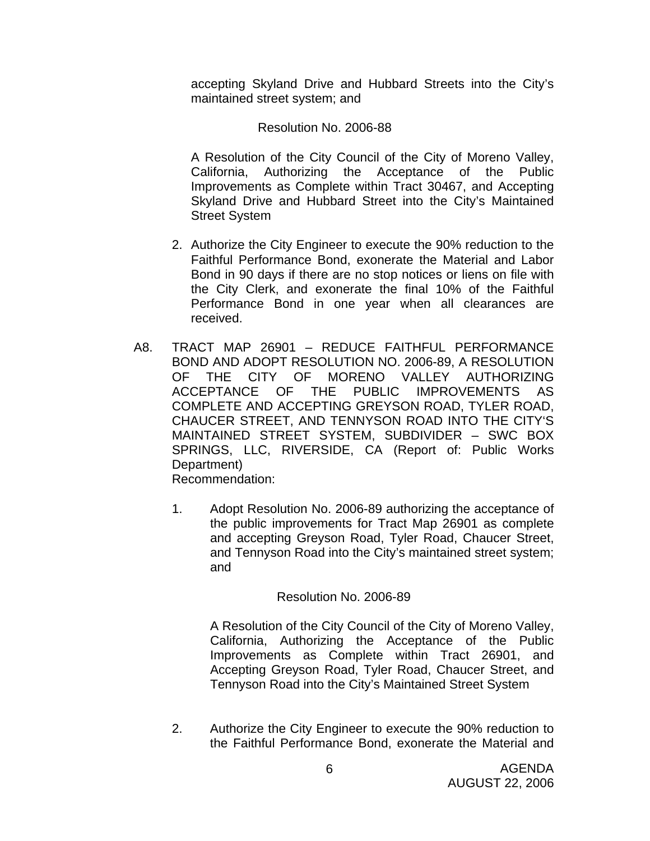accepting Skyland Drive and Hubbard Streets into the City's maintained street system; and

#### Resolution No. 2006-88

A Resolution of the City Council of the City of Moreno Valley, California, Authorizing the Acceptance of the Public Improvements as Complete within Tract 30467, and Accepting Skyland Drive and Hubbard Street into the City's Maintained Street System

- 2. Authorize the City Engineer to execute the 90% reduction to the Faithful Performance Bond, exonerate the Material and Labor Bond in 90 days if there are no stop notices or liens on file with the City Clerk, and exonerate the final 10% of the Faithful Performance Bond in one year when all clearances are received.
- A8. TRACT MAP 26901 REDUCE FAITHFUL PERFORMANCE BOND AND ADOPT RESOLUTION NO. 2006-89, A RESOLUTION OF THE CITY OF MORENO VALLEY AUTHORIZING ACCEPTANCE OF THE PUBLIC IMPROVEMENTS AS COMPLETE AND ACCEPTING GREYSON ROAD, TYLER ROAD, CHAUCER STREET, AND TENNYSON ROAD INTO THE CITY'S MAINTAINED STREET SYSTEM, SUBDIVIDER – SWC BOX SPRINGS, LLC, RIVERSIDE, CA (Report of: Public Works Department) Recommendation:
	- 1. Adopt Resolution No. 2006-89 authorizing the acceptance of the public improvements for Tract Map 26901 as complete and accepting Greyson Road, Tyler Road, Chaucer Street, and Tennyson Road into the City's maintained street system; and

#### Resolution No. 2006-89

 A Resolution of the City Council of the City of Moreno Valley, California, Authorizing the Acceptance of the Public Improvements as Complete within Tract 26901, and Accepting Greyson Road, Tyler Road, Chaucer Street, and Tennyson Road into the City's Maintained Street System

2. Authorize the City Engineer to execute the 90% reduction to the Faithful Performance Bond, exonerate the Material and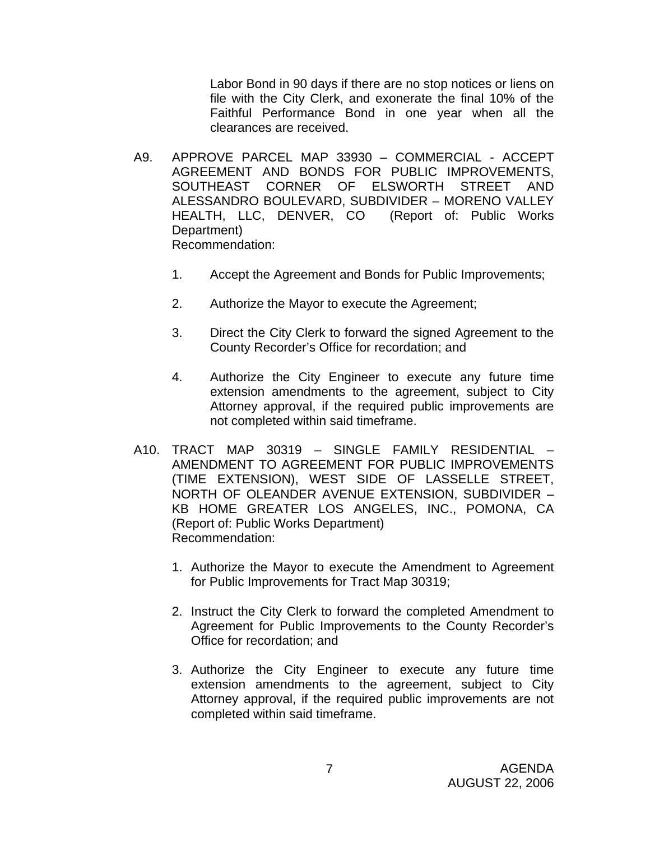Labor Bond in 90 days if there are no stop notices or liens on file with the City Clerk, and exonerate the final 10% of the Faithful Performance Bond in one year when all the clearances are received.

- A9. APPROVE PARCEL MAP 33930 COMMERCIAL ACCEPT AGREEMENT AND BONDS FOR PUBLIC IMPROVEMENTS, SOUTHEAST CORNER OF ELSWORTH STREET AND ALESSANDRO BOULEVARD, SUBDIVIDER – MORENO VALLEY HEALTH, LLC, DENVER, CO (Report of: Public Works Department) Recommendation:
	- 1. Accept the Agreement and Bonds for Public Improvements;
	- 2. Authorize the Mayor to execute the Agreement;
	- 3. Direct the City Clerk to forward the signed Agreement to the County Recorder's Office for recordation; and
	- 4. Authorize the City Engineer to execute any future time extension amendments to the agreement, subject to City Attorney approval, if the required public improvements are not completed within said timeframe.
- A10. TRACT MAP 30319 SINGLE FAMILY RESIDENTIAL AMENDMENT TO AGREEMENT FOR PUBLIC IMPROVEMENTS (TIME EXTENSION), WEST SIDE OF LASSELLE STREET, NORTH OF OLEANDER AVENUE EXTENSION, SUBDIVIDER – KB HOME GREATER LOS ANGELES, INC., POMONA, CA (Report of: Public Works Department) Recommendation:
	- 1. Authorize the Mayor to execute the Amendment to Agreement for Public Improvements for Tract Map 30319;
	- 2. Instruct the City Clerk to forward the completed Amendment to Agreement for Public Improvements to the County Recorder's Office for recordation; and
	- 3. Authorize the City Engineer to execute any future time extension amendments to the agreement, subject to City Attorney approval, if the required public improvements are not completed within said timeframe.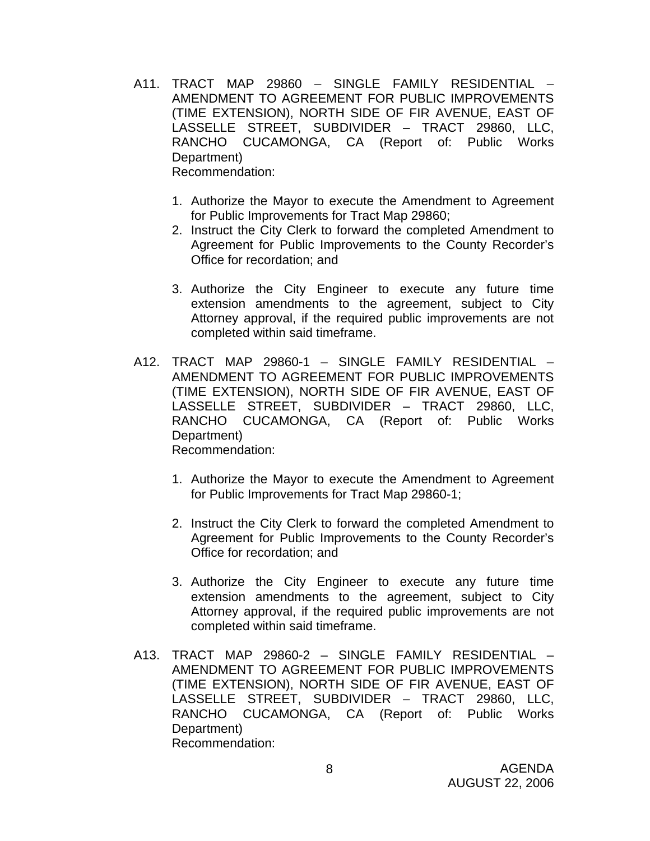- A11. TRACT MAP 29860 SINGLE FAMILY RESIDENTIAL AMENDMENT TO AGREEMENT FOR PUBLIC IMPROVEMENTS (TIME EXTENSION), NORTH SIDE OF FIR AVENUE, EAST OF LASSELLE STREET, SUBDIVIDER – TRACT 29860, LLC, RANCHO CUCAMONGA, CA (Report of: Public Works Department) Recommendation:
	- 1. Authorize the Mayor to execute the Amendment to Agreement for Public Improvements for Tract Map 29860;
	- 2. Instruct the City Clerk to forward the completed Amendment to Agreement for Public Improvements to the County Recorder's Office for recordation; and
	- 3. Authorize the City Engineer to execute any future time extension amendments to the agreement, subject to City Attorney approval, if the required public improvements are not completed within said timeframe.
- A12. TRACT MAP 29860-1 SINGLE FAMILY RESIDENTIAL AMENDMENT TO AGREEMENT FOR PUBLIC IMPROVEMENTS (TIME EXTENSION), NORTH SIDE OF FIR AVENUE, EAST OF LASSELLE STREET, SUBDIVIDER – TRACT 29860, LLC, RANCHO CUCAMONGA, CA (Report of: Public Works Department) Recommendation:
	- 1. Authorize the Mayor to execute the Amendment to Agreement for Public Improvements for Tract Map 29860-1;
	- 2. Instruct the City Clerk to forward the completed Amendment to Agreement for Public Improvements to the County Recorder's Office for recordation; and
	- 3. Authorize the City Engineer to execute any future time extension amendments to the agreement, subject to City Attorney approval, if the required public improvements are not completed within said timeframe.
- A13. TRACT MAP 29860-2 SINGLE FAMILY RESIDENTIAL AMENDMENT TO AGREEMENT FOR PUBLIC IMPROVEMENTS (TIME EXTENSION), NORTH SIDE OF FIR AVENUE, EAST OF LASSELLE STREET, SUBDIVIDER – TRACT 29860, LLC, RANCHO CUCAMONGA, CA (Report of: Public Works Department) Recommendation: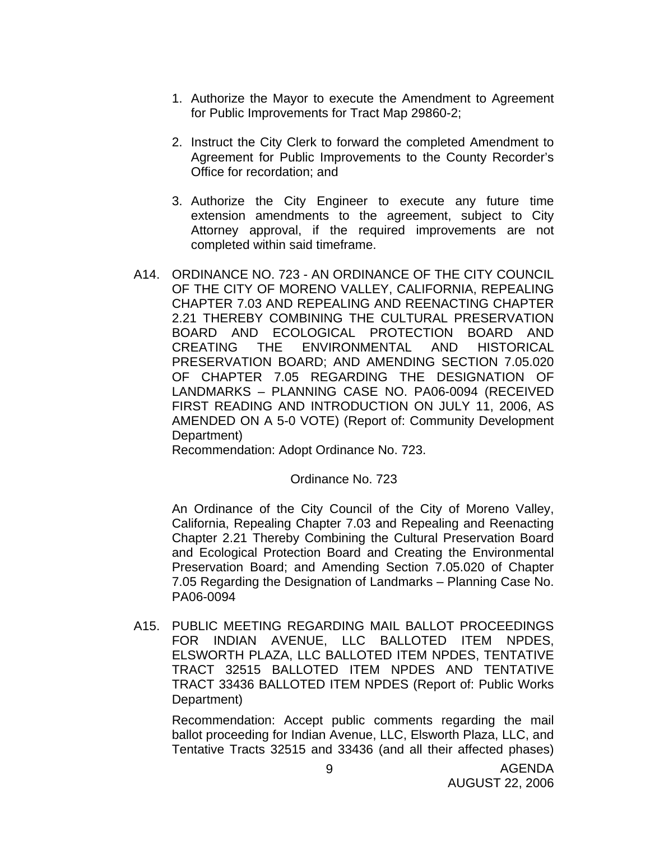- 1. Authorize the Mayor to execute the Amendment to Agreement for Public Improvements for Tract Map 29860-2;
- 2. Instruct the City Clerk to forward the completed Amendment to Agreement for Public Improvements to the County Recorder's Office for recordation; and
- 3. Authorize the City Engineer to execute any future time extension amendments to the agreement, subject to City Attorney approval, if the required improvements are not completed within said timeframe.
- A14. ORDINANCE NO. 723 AN ORDINANCE OF THE CITY COUNCIL OF THE CITY OF MORENO VALLEY, CALIFORNIA, REPEALING CHAPTER 7.03 AND REPEALING AND REENACTING CHAPTER 2.21 THEREBY COMBINING THE CULTURAL PRESERVATION BOARD AND ECOLOGICAL PROTECTION BOARD AND CREATING THE ENVIRONMENTAL AND HISTORICAL PRESERVATION BOARD; AND AMENDING SECTION 7.05.020 OF CHAPTER 7.05 REGARDING THE DESIGNATION OF LANDMARKS – PLANNING CASE NO. PA06-0094 (RECEIVED FIRST READING AND INTRODUCTION ON JULY 11, 2006, AS AMENDED ON A 5-0 VOTE) (Report of: Community Development Department)

Recommendation: Adopt Ordinance No. 723.

#### Ordinance No. 723

 An Ordinance of the City Council of the City of Moreno Valley, California, Repealing Chapter 7.03 and Repealing and Reenacting Chapter 2.21 Thereby Combining the Cultural Preservation Board and Ecological Protection Board and Creating the Environmental Preservation Board; and Amending Section 7.05.020 of Chapter 7.05 Regarding the Designation of Landmarks – Planning Case No. PA06-0094

A15. PUBLIC MEETING REGARDING MAIL BALLOT PROCEEDINGS FOR INDIAN AVENUE, LLC BALLOTED ITEM NPDES, ELSWORTH PLAZA, LLC BALLOTED ITEM NPDES, TENTATIVE TRACT 32515 BALLOTED ITEM NPDES AND TENTATIVE TRACT 33436 BALLOTED ITEM NPDES (Report of: Public Works Department)

 Recommendation: Accept public comments regarding the mail ballot proceeding for Indian Avenue, LLC, Elsworth Plaza, LLC, and Tentative Tracts 32515 and 33436 (and all their affected phases)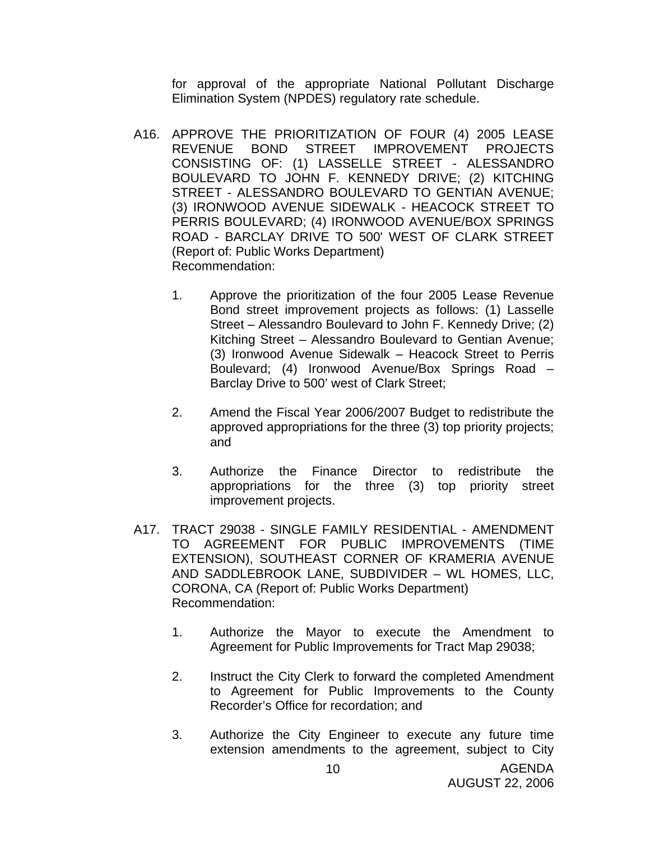for approval of the appropriate National Pollutant Discharge Elimination System (NPDES) regulatory rate schedule.

- A16. APPROVE THE PRIORITIZATION OF FOUR (4) 2005 LEASE REVENUE BOND STREET IMPROVEMENT PROJECTS CONSISTING OF: (1) LASSELLE STREET - ALESSANDRO BOULEVARD TO JOHN F. KENNEDY DRIVE; (2) KITCHING STREET - ALESSANDRO BOULEVARD TO GENTIAN AVENUE; (3) IRONWOOD AVENUE SIDEWALK - HEACOCK STREET TO PERRIS BOULEVARD; (4) IRONWOOD AVENUE/BOX SPRINGS ROAD - BARCLAY DRIVE TO 500' WEST OF CLARK STREET (Report of: Public Works Department) Recommendation:
	- 1. Approve the prioritization of the four 2005 Lease Revenue Bond street improvement projects as follows: (1) Lasselle Street – Alessandro Boulevard to John F. Kennedy Drive; (2) Kitching Street – Alessandro Boulevard to Gentian Avenue; (3) Ironwood Avenue Sidewalk – Heacock Street to Perris Boulevard; (4) Ironwood Avenue/Box Springs Road – Barclay Drive to 500' west of Clark Street;
	- 2. Amend the Fiscal Year 2006/2007 Budget to redistribute the approved appropriations for the three (3) top priority projects; and
	- 3. Authorize the Finance Director to redistribute the appropriations for the three (3) top priority street improvement projects.
- A17. TRACT 29038 SINGLE FAMILY RESIDENTIAL AMENDMENT TO AGREEMENT FOR PUBLIC IMPROVEMENTS (TIME EXTENSION), SOUTHEAST CORNER OF KRAMERIA AVENUE AND SADDLEBROOK LANE, SUBDIVIDER – WL HOMES, LLC, CORONA, CA (Report of: Public Works Department) Recommendation:
	- 1. Authorize the Mayor to execute the Amendment to Agreement for Public Improvements for Tract Map 29038;
	- 2. Instruct the City Clerk to forward the completed Amendment to Agreement for Public Improvements to the County Recorder's Office for recordation; and
	- 3. Authorize the City Engineer to execute any future time extension amendments to the agreement, subject to City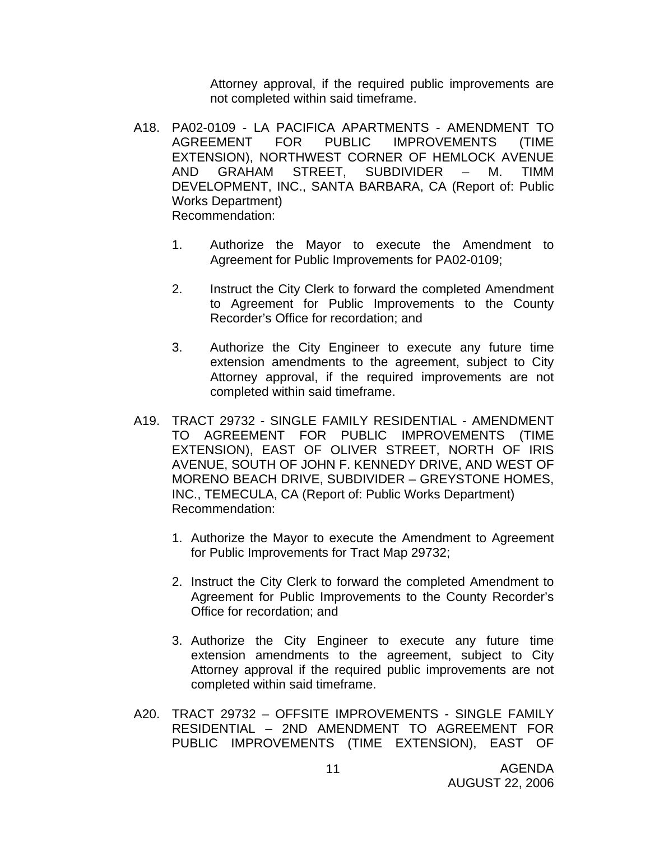Attorney approval, if the required public improvements are not completed within said timeframe.

- A18. PA02-0109 LA PACIFICA APARTMENTS AMENDMENT TO AGREEMENT FOR PUBLIC IMPROVEMENTS (TIME EXTENSION), NORTHWEST CORNER OF HEMLOCK AVENUE AND GRAHAM STREET, SUBDIVIDER – M. TIMM DEVELOPMENT, INC., SANTA BARBARA, CA (Report of: Public Works Department) Recommendation:
	- 1. Authorize the Mayor to execute the Amendment to Agreement for Public Improvements for PA02-0109;
	- 2. Instruct the City Clerk to forward the completed Amendment to Agreement for Public Improvements to the County Recorder's Office for recordation; and
	- 3. Authorize the City Engineer to execute any future time extension amendments to the agreement, subject to City Attorney approval, if the required improvements are not completed within said timeframe.
- A19. TRACT 29732 SINGLE FAMILY RESIDENTIAL AMENDMENT TO AGREEMENT FOR PUBLIC IMPROVEMENTS (TIME EXTENSION), EAST OF OLIVER STREET, NORTH OF IRIS AVENUE, SOUTH OF JOHN F. KENNEDY DRIVE, AND WEST OF MORENO BEACH DRIVE, SUBDIVIDER – GREYSTONE HOMES, INC., TEMECULA, CA (Report of: Public Works Department) Recommendation:
	- 1. Authorize the Mayor to execute the Amendment to Agreement for Public Improvements for Tract Map 29732;
	- 2. Instruct the City Clerk to forward the completed Amendment to Agreement for Public Improvements to the County Recorder's Office for recordation; and
	- 3. Authorize the City Engineer to execute any future time extension amendments to the agreement, subject to City Attorney approval if the required public improvements are not completed within said timeframe.
- A20. TRACT 29732 OFFSITE IMPROVEMENTS SINGLE FAMILY RESIDENTIAL – 2ND AMENDMENT TO AGREEMENT FOR PUBLIC IMPROVEMENTS (TIME EXTENSION), EAST OF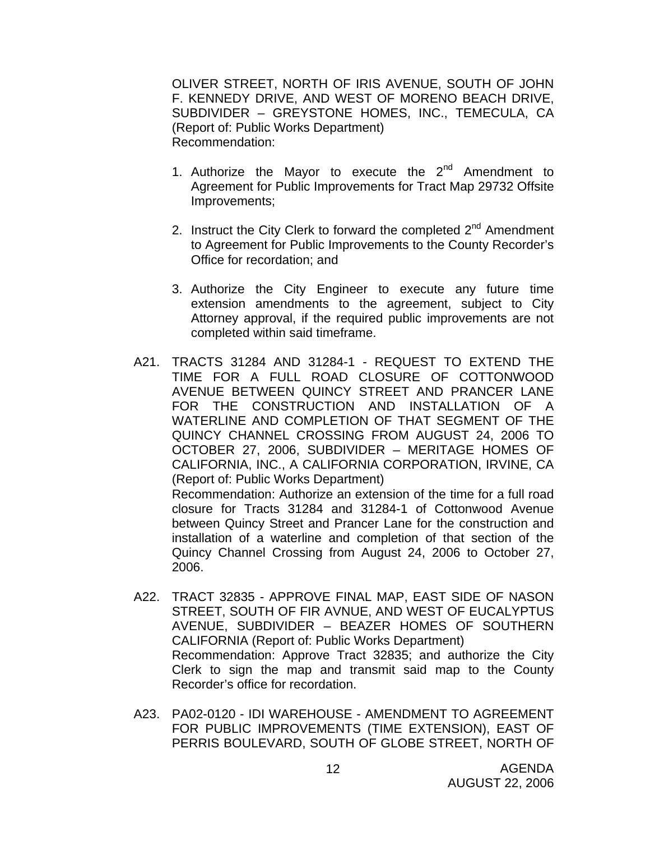OLIVER STREET, NORTH OF IRIS AVENUE, SOUTH OF JOHN F. KENNEDY DRIVE, AND WEST OF MORENO BEACH DRIVE, SUBDIVIDER – GREYSTONE HOMES, INC., TEMECULA, CA (Report of: Public Works Department) Recommendation:

- 1. Authorize the Mayor to execute the  $2^{nd}$  Amendment to Agreement for Public Improvements for Tract Map 29732 Offsite Improvements;
- 2. Instruct the City Clerk to forward the completed  $2<sup>nd</sup>$  Amendment to Agreement for Public Improvements to the County Recorder's Office for recordation; and
- 3. Authorize the City Engineer to execute any future time extension amendments to the agreement, subject to City Attorney approval, if the required public improvements are not completed within said timeframe.
- A21. TRACTS 31284 AND 31284-1 REQUEST TO EXTEND THE TIME FOR A FULL ROAD CLOSURE OF COTTONWOOD AVENUE BETWEEN QUINCY STREET AND PRANCER LANE FOR THE CONSTRUCTION AND INSTALLATION OF A WATERLINE AND COMPLETION OF THAT SEGMENT OF THE QUINCY CHANNEL CROSSING FROM AUGUST 24, 2006 TO OCTOBER 27, 2006, SUBDIVIDER – MERITAGE HOMES OF CALIFORNIA, INC., A CALIFORNIA CORPORATION, IRVINE, CA (Report of: Public Works Department) Recommendation: Authorize an extension of the time for a full road

closure for Tracts 31284 and 31284-1 of Cottonwood Avenue between Quincy Street and Prancer Lane for the construction and installation of a waterline and completion of that section of the Quincy Channel Crossing from August 24, 2006 to October 27, 2006.

- A22. TRACT 32835 APPROVE FINAL MAP, EAST SIDE OF NASON STREET, SOUTH OF FIR AVNUE, AND WEST OF EUCALYPTUS AVENUE, SUBDIVIDER – BEAZER HOMES OF SOUTHERN CALIFORNIA (Report of: Public Works Department) Recommendation: Approve Tract 32835; and authorize the City Clerk to sign the map and transmit said map to the County Recorder's office for recordation.
- A23. PA02-0120 IDI WAREHOUSE AMENDMENT TO AGREEMENT FOR PUBLIC IMPROVEMENTS (TIME EXTENSION), EAST OF PERRIS BOULEVARD, SOUTH OF GLOBE STREET, NORTH OF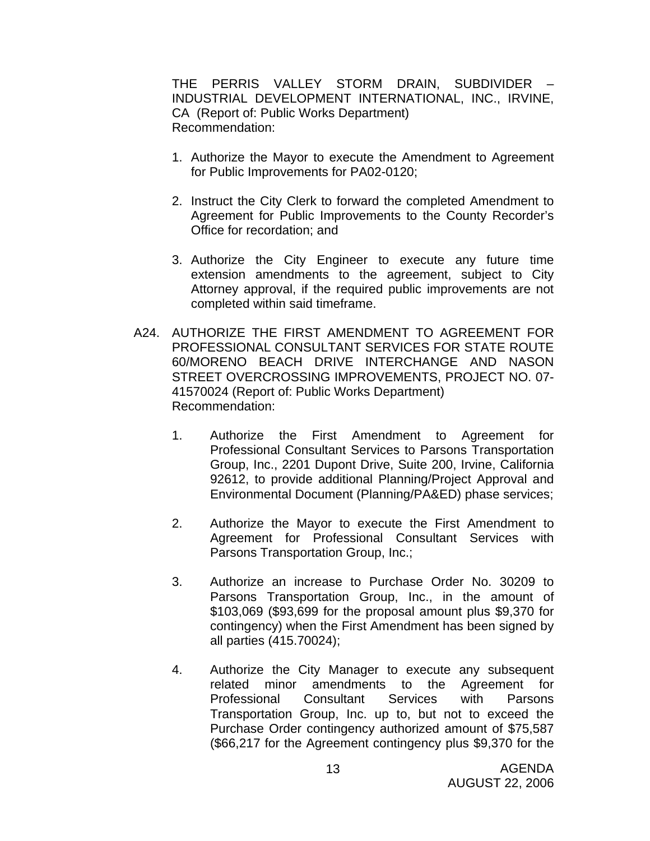THE PERRIS VALLEY STORM DRAIN, SUBDIVIDER – INDUSTRIAL DEVELOPMENT INTERNATIONAL, INC., IRVINE, CA (Report of: Public Works Department) Recommendation:

- 1. Authorize the Mayor to execute the Amendment to Agreement for Public Improvements for PA02-0120;
- 2. Instruct the City Clerk to forward the completed Amendment to Agreement for Public Improvements to the County Recorder's Office for recordation; and
- 3. Authorize the City Engineer to execute any future time extension amendments to the agreement, subject to City Attorney approval, if the required public improvements are not completed within said timeframe.
- A24. AUTHORIZE THE FIRST AMENDMENT TO AGREEMENT FOR PROFESSIONAL CONSULTANT SERVICES FOR STATE ROUTE 60/MORENO BEACH DRIVE INTERCHANGE AND NASON STREET OVERCROSSING IMPROVEMENTS, PROJECT NO. 07- 41570024 (Report of: Public Works Department) Recommendation:
	- 1. Authorize the First Amendment to Agreement for Professional Consultant Services to Parsons Transportation Group, Inc., 2201 Dupont Drive, Suite 200, Irvine, California 92612, to provide additional Planning/Project Approval and Environmental Document (Planning/PA&ED) phase services;
	- 2. Authorize the Mayor to execute the First Amendment to Agreement for Professional Consultant Services with Parsons Transportation Group, Inc.;
	- 3. Authorize an increase to Purchase Order No. 30209 to Parsons Transportation Group, Inc., in the amount of \$103,069 (\$93,699 for the proposal amount plus \$9,370 for contingency) when the First Amendment has been signed by all parties (415.70024);
	- 4. Authorize the City Manager to execute any subsequent related minor amendments to the Agreement for Professional Consultant Services with Parsons Transportation Group, Inc. up to, but not to exceed the Purchase Order contingency authorized amount of \$75,587 (\$66,217 for the Agreement contingency plus \$9,370 for the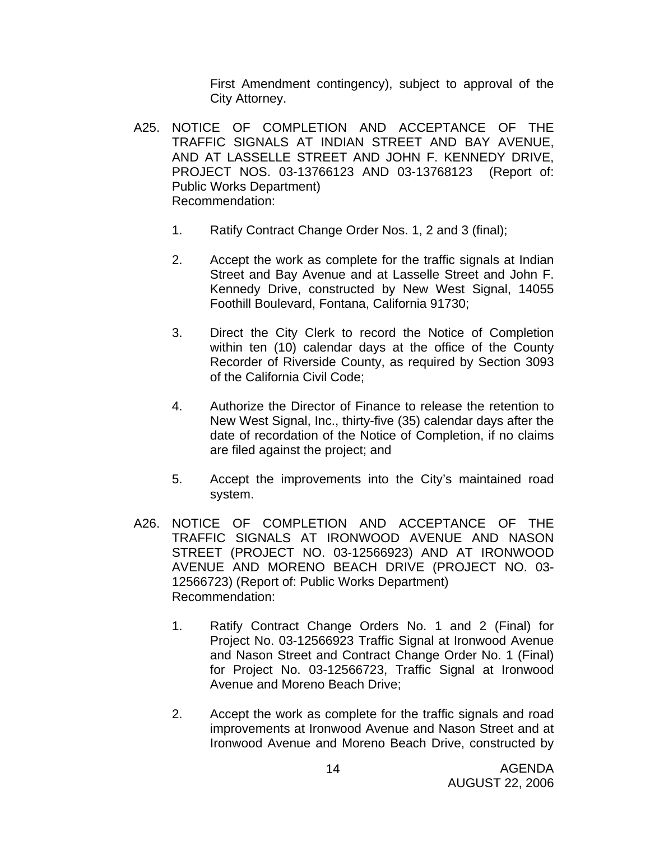First Amendment contingency), subject to approval of the City Attorney.

- A25. NOTICE OF COMPLETION AND ACCEPTANCE OF THE TRAFFIC SIGNALS AT INDIAN STREET AND BAY AVENUE, AND AT LASSELLE STREET AND JOHN F. KENNEDY DRIVE, PROJECT NOS. 03-13766123 AND 03-13768123 (Report of: Public Works Department) Recommendation:
	- 1. Ratify Contract Change Order Nos. 1, 2 and 3 (final);
	- 2. Accept the work as complete for the traffic signals at Indian Street and Bay Avenue and at Lasselle Street and John F. Kennedy Drive, constructed by New West Signal, 14055 Foothill Boulevard, Fontana, California 91730;
	- 3. Direct the City Clerk to record the Notice of Completion within ten (10) calendar days at the office of the County Recorder of Riverside County, as required by Section 3093 of the California Civil Code;
	- 4. Authorize the Director of Finance to release the retention to New West Signal, Inc., thirty-five (35) calendar days after the date of recordation of the Notice of Completion, if no claims are filed against the project; and
	- 5. Accept the improvements into the City's maintained road system.
- A26. NOTICE OF COMPLETION AND ACCEPTANCE OF THE TRAFFIC SIGNALS AT IRONWOOD AVENUE AND NASON STREET (PROJECT NO. 03-12566923) AND AT IRONWOOD AVENUE AND MORENO BEACH DRIVE (PROJECT NO. 03- 12566723) (Report of: Public Works Department) Recommendation:
	- 1. Ratify Contract Change Orders No. 1 and 2 (Final) for Project No. 03-12566923 Traffic Signal at Ironwood Avenue and Nason Street and Contract Change Order No. 1 (Final) for Project No. 03-12566723, Traffic Signal at Ironwood Avenue and Moreno Beach Drive;
	- 2. Accept the work as complete for the traffic signals and road improvements at Ironwood Avenue and Nason Street and at Ironwood Avenue and Moreno Beach Drive, constructed by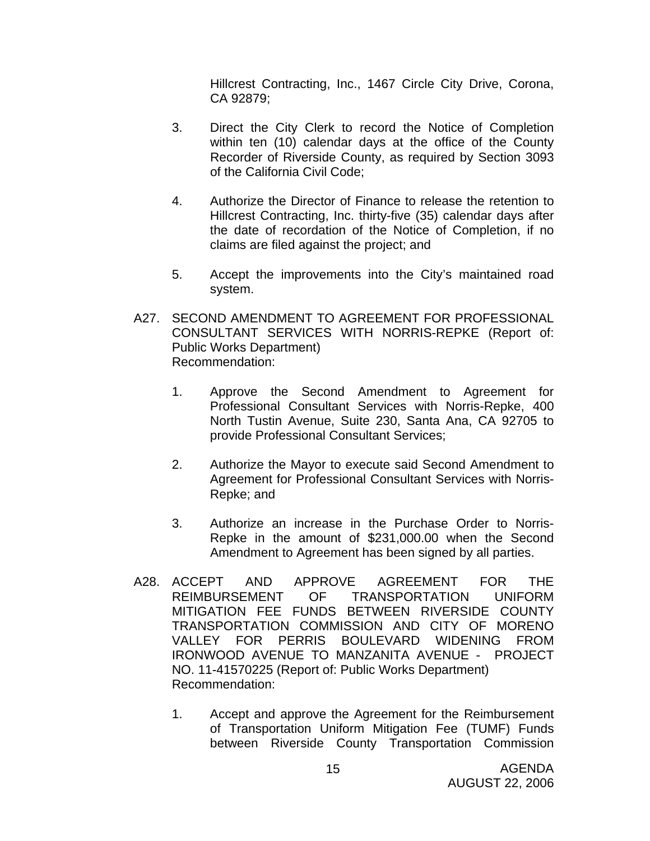Hillcrest Contracting, Inc., 1467 Circle City Drive, Corona, CA 92879;

- 3. Direct the City Clerk to record the Notice of Completion within ten (10) calendar days at the office of the County Recorder of Riverside County, as required by Section 3093 of the California Civil Code;
- 4. Authorize the Director of Finance to release the retention to Hillcrest Contracting, Inc. thirty-five (35) calendar days after the date of recordation of the Notice of Completion, if no claims are filed against the project; and
- 5. Accept the improvements into the City's maintained road system.
- A27. SECOND AMENDMENT TO AGREEMENT FOR PROFESSIONAL CONSULTANT SERVICES WITH NORRIS-REPKE (Report of: Public Works Department) Recommendation:
	- 1. Approve the Second Amendment to Agreement for Professional Consultant Services with Norris-Repke, 400 North Tustin Avenue, Suite 230, Santa Ana, CA 92705 to provide Professional Consultant Services;
	- 2. Authorize the Mayor to execute said Second Amendment to Agreement for Professional Consultant Services with Norris-Repke; and
	- 3. Authorize an increase in the Purchase Order to Norris-Repke in the amount of \$231,000.00 when the Second Amendment to Agreement has been signed by all parties.
- A28. ACCEPT AND APPROVE AGREEMENT FOR THE REIMBURSEMENT OF TRANSPORTATION UNIFORM MITIGATION FEE FUNDS BETWEEN RIVERSIDE COUNTY TRANSPORTATION COMMISSION AND CITY OF MORENO VALLEY FOR PERRIS BOULEVARD WIDENING FROM IRONWOOD AVENUE TO MANZANITA AVENUE - PROJECT NO. 11-41570225 (Report of: Public Works Department) Recommendation:
	- 1. Accept and approve the Agreement for the Reimbursement of Transportation Uniform Mitigation Fee (TUMF) Funds between Riverside County Transportation Commission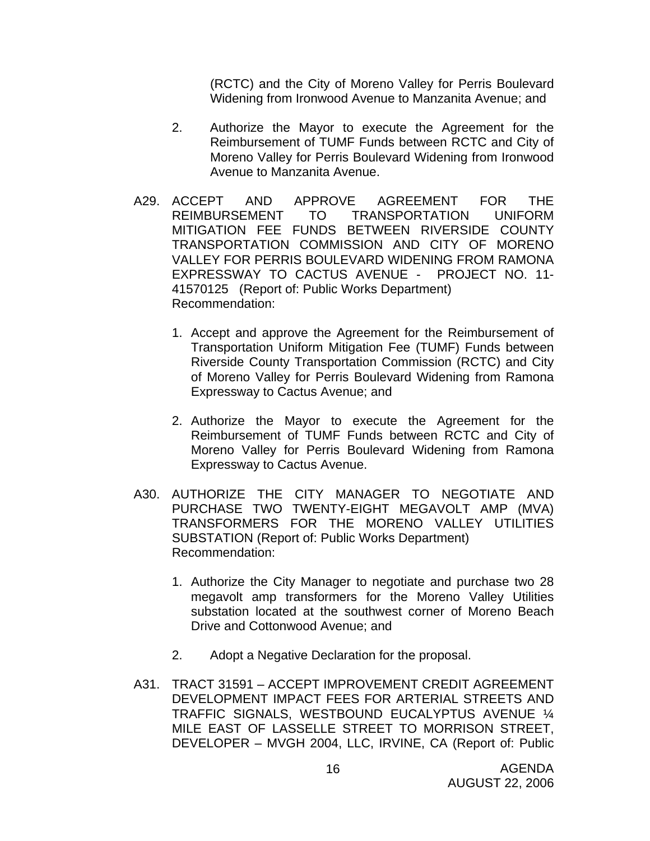(RCTC) and the City of Moreno Valley for Perris Boulevard Widening from Ironwood Avenue to Manzanita Avenue; and

- 2. Authorize the Mayor to execute the Agreement for the Reimbursement of TUMF Funds between RCTC and City of Moreno Valley for Perris Boulevard Widening from Ironwood Avenue to Manzanita Avenue.
- A29. ACCEPT AND APPROVE AGREEMENT FOR THE REIMBURSEMENT TO TRANSPORTATION UNIFORM MITIGATION FEE FUNDS BETWEEN RIVERSIDE COUNTY TRANSPORTATION COMMISSION AND CITY OF MORENO VALLEY FOR PERRIS BOULEVARD WIDENING FROM RAMONA EXPRESSWAY TO CACTUS AVENUE - PROJECT NO. 11- 41570125 (Report of: Public Works Department) Recommendation:
	- 1. Accept and approve the Agreement for the Reimbursement of Transportation Uniform Mitigation Fee (TUMF) Funds between Riverside County Transportation Commission (RCTC) and City of Moreno Valley for Perris Boulevard Widening from Ramona Expressway to Cactus Avenue; and
	- 2. Authorize the Mayor to execute the Agreement for the Reimbursement of TUMF Funds between RCTC and City of Moreno Valley for Perris Boulevard Widening from Ramona Expressway to Cactus Avenue.
- A30. AUTHORIZE THE CITY MANAGER TO NEGOTIATE AND PURCHASE TWO TWENTY-EIGHT MEGAVOLT AMP (MVA) TRANSFORMERS FOR THE MORENO VALLEY UTILITIES SUBSTATION (Report of: Public Works Department) Recommendation:
	- 1. Authorize the City Manager to negotiate and purchase two 28 megavolt amp transformers for the Moreno Valley Utilities substation located at the southwest corner of Moreno Beach Drive and Cottonwood Avenue; and
	- 2. Adopt a Negative Declaration for the proposal.
- A31. TRACT 31591 ACCEPT IMPROVEMENT CREDIT AGREEMENT DEVELOPMENT IMPACT FEES FOR ARTERIAL STREETS AND TRAFFIC SIGNALS, WESTBOUND EUCALYPTUS AVENUE ¼ MILE EAST OF LASSELLE STREET TO MORRISON STREET, DEVELOPER – MVGH 2004, LLC, IRVINE, CA (Report of: Public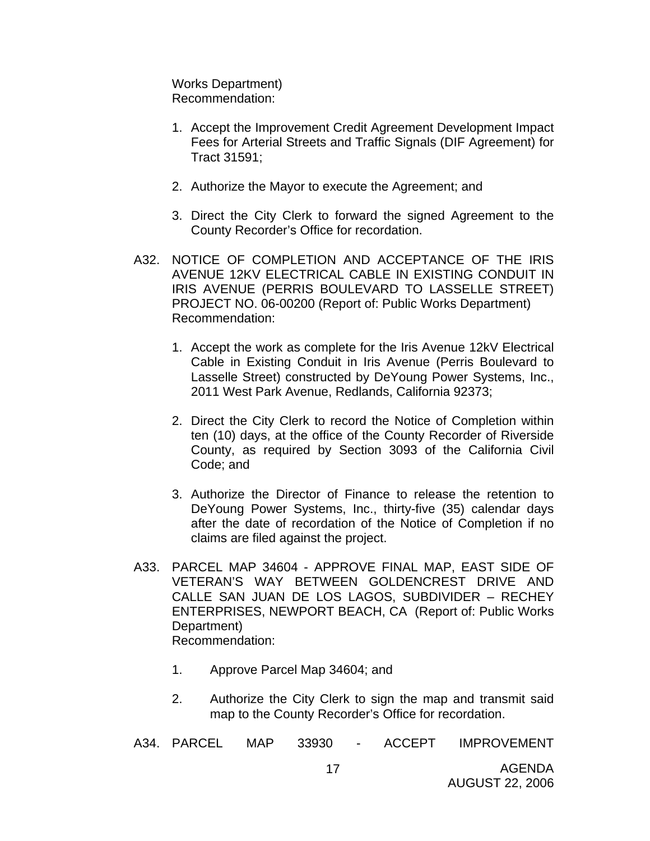Works Department) Recommendation:

- 1. Accept the Improvement Credit Agreement Development Impact Fees for Arterial Streets and Traffic Signals (DIF Agreement) for Tract 31591;
- 2. Authorize the Mayor to execute the Agreement; and
- 3. Direct the City Clerk to forward the signed Agreement to the County Recorder's Office for recordation.
- A32. NOTICE OF COMPLETION AND ACCEPTANCE OF THE IRIS AVENUE 12KV ELECTRICAL CABLE IN EXISTING CONDUIT IN IRIS AVENUE (PERRIS BOULEVARD TO LASSELLE STREET) PROJECT NO. 06-00200 (Report of: Public Works Department) Recommendation:
	- 1. Accept the work as complete for the Iris Avenue 12kV Electrical Cable in Existing Conduit in Iris Avenue (Perris Boulevard to Lasselle Street) constructed by DeYoung Power Systems, Inc., 2011 West Park Avenue, Redlands, California 92373;
	- 2. Direct the City Clerk to record the Notice of Completion within ten (10) days, at the office of the County Recorder of Riverside County, as required by Section 3093 of the California Civil Code; and
	- 3. Authorize the Director of Finance to release the retention to DeYoung Power Systems, Inc., thirty-five (35) calendar days after the date of recordation of the Notice of Completion if no claims are filed against the project.
- A33. PARCEL MAP 34604 APPROVE FINAL MAP, EAST SIDE OF VETERAN'S WAY BETWEEN GOLDENCREST DRIVE AND CALLE SAN JUAN DE LOS LAGOS, SUBDIVIDER – RECHEY ENTERPRISES, NEWPORT BEACH, CA (Report of: Public Works Department) Recommendation:
	- 1. Approve Parcel Map 34604; and
	- 2. Authorize the City Clerk to sign the map and transmit said map to the County Recorder's Office for recordation.

|  | A34. PARCEL | <b>MAP</b> | 33930 |  | <b>ACCEPT</b> | <b>IMPROVEMENT</b> |
|--|-------------|------------|-------|--|---------------|--------------------|
|--|-------------|------------|-------|--|---------------|--------------------|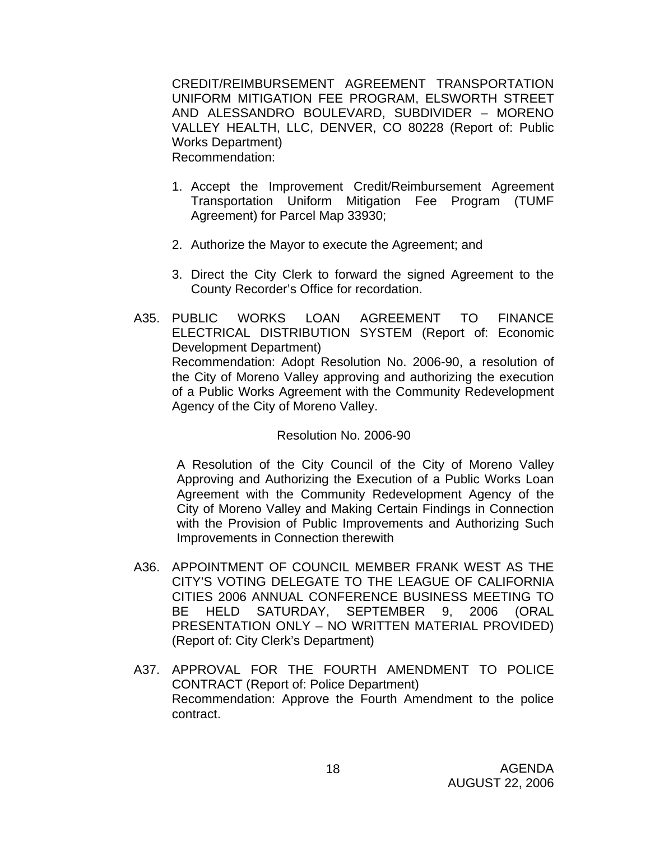CREDIT/REIMBURSEMENT AGREEMENT TRANSPORTATION UNIFORM MITIGATION FEE PROGRAM, ELSWORTH STREET AND ALESSANDRO BOULEVARD, SUBDIVIDER – MORENO VALLEY HEALTH, LLC, DENVER, CO 80228 (Report of: Public Works Department) Recommendation:

- 1. Accept the Improvement Credit/Reimbursement Agreement Transportation Uniform Mitigation Fee Program (TUMF Agreement) for Parcel Map 33930;
- 2. Authorize the Mayor to execute the Agreement; and
- 3. Direct the City Clerk to forward the signed Agreement to the County Recorder's Office for recordation.
- A35. PUBLIC WORKS LOAN AGREEMENT TO FINANCE ELECTRICAL DISTRIBUTION SYSTEM (Report of: Economic Development Department) Recommendation: Adopt Resolution No. 2006-90, a resolution of the City of Moreno Valley approving and authorizing the execution of a Public Works Agreement with the Community Redevelopment Agency of the City of Moreno Valley.

#### Resolution No. 2006-90

 A Resolution of the City Council of the City of Moreno Valley Approving and Authorizing the Execution of a Public Works Loan Agreement with the Community Redevelopment Agency of the City of Moreno Valley and Making Certain Findings in Connection with the Provision of Public Improvements and Authorizing Such Improvements in Connection therewith

- A36. APPOINTMENT OF COUNCIL MEMBER FRANK WEST AS THE CITY'S VOTING DELEGATE TO THE LEAGUE OF CALIFORNIA CITIES 2006 ANNUAL CONFERENCE BUSINESS MEETING TO BE HELD SATURDAY, SEPTEMBER 9, 2006 (ORAL PRESENTATION ONLY – NO WRITTEN MATERIAL PROVIDED) (Report of: City Clerk's Department)
- A37. APPROVAL FOR THE FOURTH AMENDMENT TO POLICE CONTRACT (Report of: Police Department) Recommendation: Approve the Fourth Amendment to the police contract.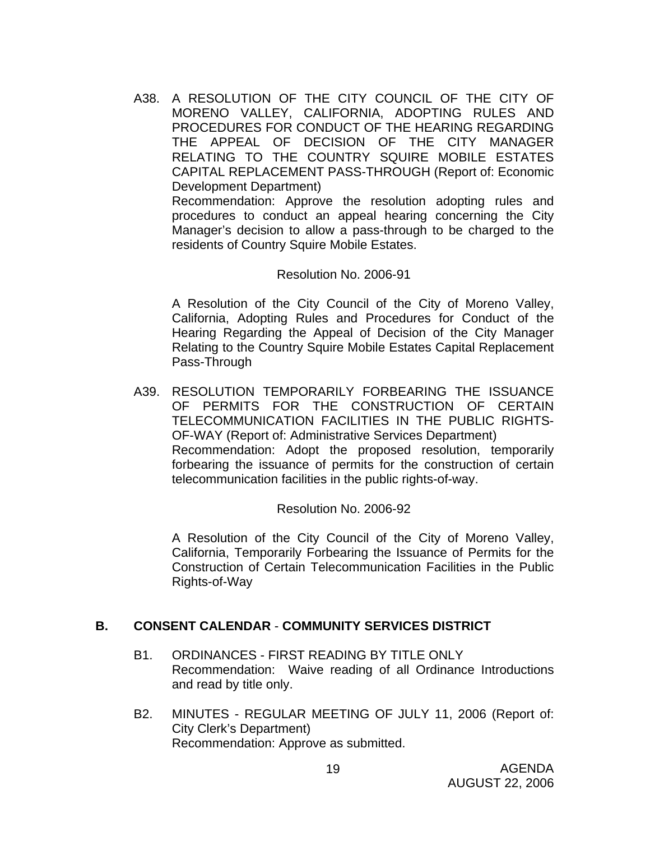A38. A RESOLUTION OF THE CITY COUNCIL OF THE CITY OF MORENO VALLEY, CALIFORNIA, ADOPTING RULES AND PROCEDURES FOR CONDUCT OF THE HEARING REGARDING THE APPEAL OF DECISION OF THE CITY MANAGER RELATING TO THE COUNTRY SQUIRE MOBILE ESTATES CAPITAL REPLACEMENT PASS-THROUGH (Report of: Economic Development Department) Recommendation: Approve the resolution adopting rules and procedures to conduct an appeal hearing concerning the City

Manager's decision to allow a pass-through to be charged to the residents of Country Squire Mobile Estates.

#### Resolution No. 2006-91

A Resolution of the City Council of the City of Moreno Valley, California, Adopting Rules and Procedures for Conduct of the Hearing Regarding the Appeal of Decision of the City Manager Relating to the Country Squire Mobile Estates Capital Replacement Pass-Through

A39. RESOLUTION TEMPORARILY FORBEARING THE ISSUANCE OF PERMITS FOR THE CONSTRUCTION OF CERTAIN TELECOMMUNICATION FACILITIES IN THE PUBLIC RIGHTS-OF-WAY (Report of: Administrative Services Department) Recommendation: Adopt the proposed resolution, temporarily forbearing the issuance of permits for the construction of certain telecommunication facilities in the public rights-of-way.

Resolution No. 2006-92

 A Resolution of the City Council of the City of Moreno Valley, California, Temporarily Forbearing the Issuance of Permits for the Construction of Certain Telecommunication Facilities in the Public Rights-of-Way

#### **B. CONSENT CALENDAR** - **COMMUNITY SERVICES DISTRICT**

- B1. ORDINANCES FIRST READING BY TITLE ONLY Recommendation: Waive reading of all Ordinance Introductions and read by title only.
- B2. MINUTES REGULAR MEETING OF JULY 11, 2006 (Report of: City Clerk's Department) Recommendation: Approve as submitted.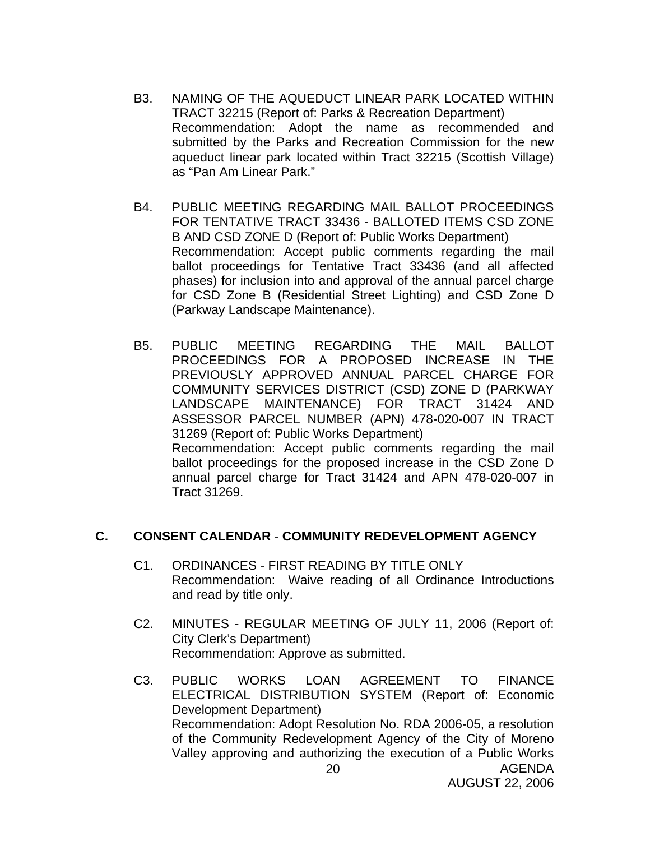- B3. NAMING OF THE AQUEDUCT LINEAR PARK LOCATED WITHIN TRACT 32215 (Report of: Parks & Recreation Department) Recommendation: Adopt the name as recommended and submitted by the Parks and Recreation Commission for the new aqueduct linear park located within Tract 32215 (Scottish Village) as "Pan Am Linear Park."
- B4. PUBLIC MEETING REGARDING MAIL BALLOT PROCEEDINGS FOR TENTATIVE TRACT 33436 - BALLOTED ITEMS CSD ZONE B AND CSD ZONE D (Report of: Public Works Department) Recommendation: Accept public comments regarding the mail ballot proceedings for Tentative Tract 33436 (and all affected phases) for inclusion into and approval of the annual parcel charge for CSD Zone B (Residential Street Lighting) and CSD Zone D (Parkway Landscape Maintenance).
- B5. PUBLIC MEETING REGARDING THE MAIL BALLOT PROCEEDINGS FOR A PROPOSED INCREASE IN THE PREVIOUSLY APPROVED ANNUAL PARCEL CHARGE FOR COMMUNITY SERVICES DISTRICT (CSD) ZONE D (PARKWAY LANDSCAPE MAINTENANCE) FOR TRACT 31424 AND ASSESSOR PARCEL NUMBER (APN) 478-020-007 IN TRACT 31269 (Report of: Public Works Department) Recommendation: Accept public comments regarding the mail ballot proceedings for the proposed increase in the CSD Zone D annual parcel charge for Tract 31424 and APN 478-020-007 in Tract 31269.

#### **C. CONSENT CALENDAR** - **COMMUNITY REDEVELOPMENT AGENCY**

- C1. ORDINANCES FIRST READING BY TITLE ONLY Recommendation: Waive reading of all Ordinance Introductions and read by title only.
- C2. MINUTES REGULAR MEETING OF JULY 11, 2006 (Report of: City Clerk's Department) Recommendation: Approve as submitted.
- AGENDA C3. PUBLIC WORKS LOAN AGREEMENT TO FINANCE ELECTRICAL DISTRIBUTION SYSTEM (Report of: Economic Development Department) Recommendation: Adopt Resolution No. RDA 2006-05, a resolution of the Community Redevelopment Agency of the City of Moreno Valley approving and authorizing the execution of a Public Works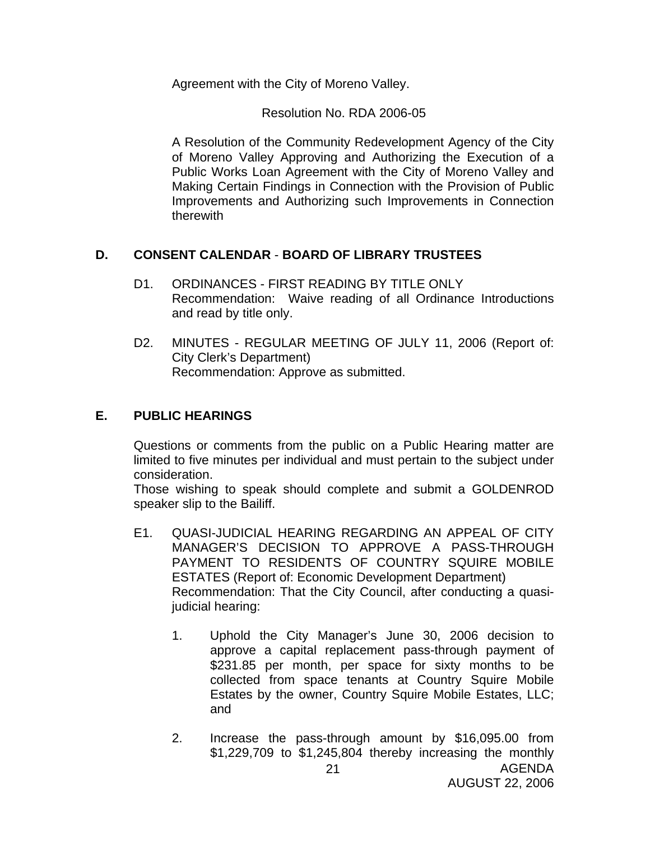Agreement with the City of Moreno Valley.

Resolution No. RDA 2006-05

A Resolution of the Community Redevelopment Agency of the City of Moreno Valley Approving and Authorizing the Execution of a Public Works Loan Agreement with the City of Moreno Valley and Making Certain Findings in Connection with the Provision of Public Improvements and Authorizing such Improvements in Connection therewith

## **D. CONSENT CALENDAR** - **BOARD OF LIBRARY TRUSTEES**

- D1. ORDINANCES FIRST READING BY TITLE ONLY Recommendation: Waive reading of all Ordinance Introductions and read by title only.
- D2. MINUTES REGULAR MEETING OF JULY 11, 2006 (Report of: City Clerk's Department) Recommendation: Approve as submitted.

# **E. PUBLIC HEARINGS**

Questions or comments from the public on a Public Hearing matter are limited to five minutes per individual and must pertain to the subject under consideration.

 Those wishing to speak should complete and submit a GOLDENROD speaker slip to the Bailiff.

- E1. QUASI-JUDICIAL HEARING REGARDING AN APPEAL OF CITY MANAGER'S DECISION TO APPROVE A PASS-THROUGH PAYMENT TO RESIDENTS OF COUNTRY SQUIRE MOBILE ESTATES (Report of: Economic Development Department) Recommendation: That the City Council, after conducting a quasijudicial hearing:
	- 1. Uphold the City Manager's June 30, 2006 decision to approve a capital replacement pass-through payment of \$231.85 per month, per space for sixty months to be collected from space tenants at Country Squire Mobile Estates by the owner, Country Squire Mobile Estates, LLC; and
	- 2. Increase the pass-through amount by \$16,095.00 from \$1,229,709 to \$1,245,804 thereby increasing the monthly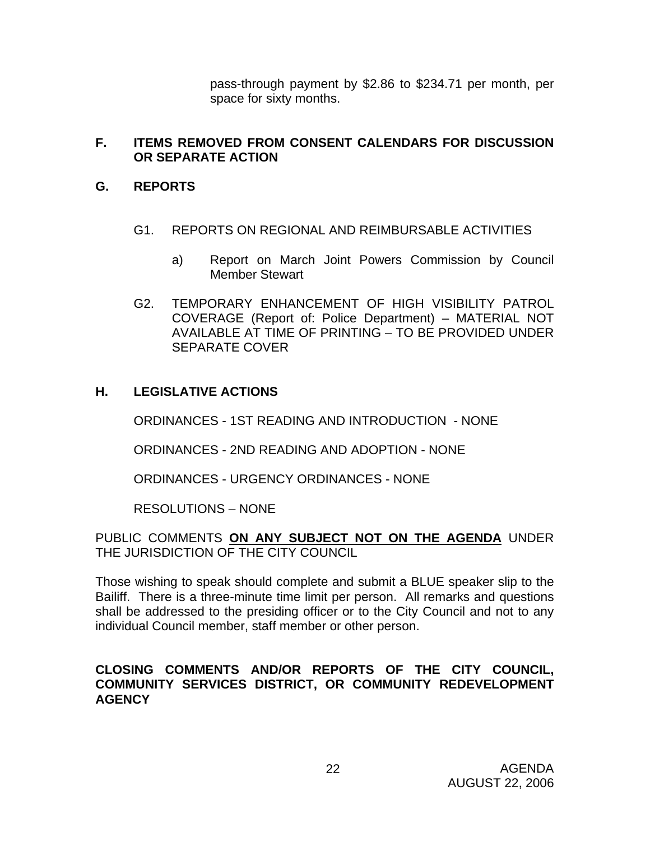pass-through payment by \$2.86 to \$234.71 per month, per space for sixty months.

#### **F. ITEMS REMOVED FROM CONSENT CALENDARS FOR DISCUSSION OR SEPARATE ACTION**

## **G. REPORTS**

- G1. REPORTS ON REGIONAL AND REIMBURSABLE ACTIVITIES
	- a) Report on March Joint Powers Commission by Council Member Stewart
- G2. TEMPORARY ENHANCEMENT OF HIGH VISIBILITY PATROL COVERAGE (Report of: Police Department) – MATERIAL NOT AVAILABLE AT TIME OF PRINTING – TO BE PROVIDED UNDER SEPARATE COVER

# **H. LEGISLATIVE ACTIONS**

ORDINANCES - 1ST READING AND INTRODUCTION - NONE

ORDINANCES - 2ND READING AND ADOPTION - NONE

ORDINANCES - URGENCY ORDINANCES - NONE

RESOLUTIONS – NONE

PUBLIC COMMENTS **ON ANY SUBJECT NOT ON THE AGENDA** UNDER THE JURISDICTION OF THE CITY COUNCIL

Those wishing to speak should complete and submit a BLUE speaker slip to the Bailiff. There is a three-minute time limit per person. All remarks and questions shall be addressed to the presiding officer or to the City Council and not to any individual Council member, staff member or other person.

#### **CLOSING COMMENTS AND/OR REPORTS OF THE CITY COUNCIL, COMMUNITY SERVICES DISTRICT, OR COMMUNITY REDEVELOPMENT AGENCY**